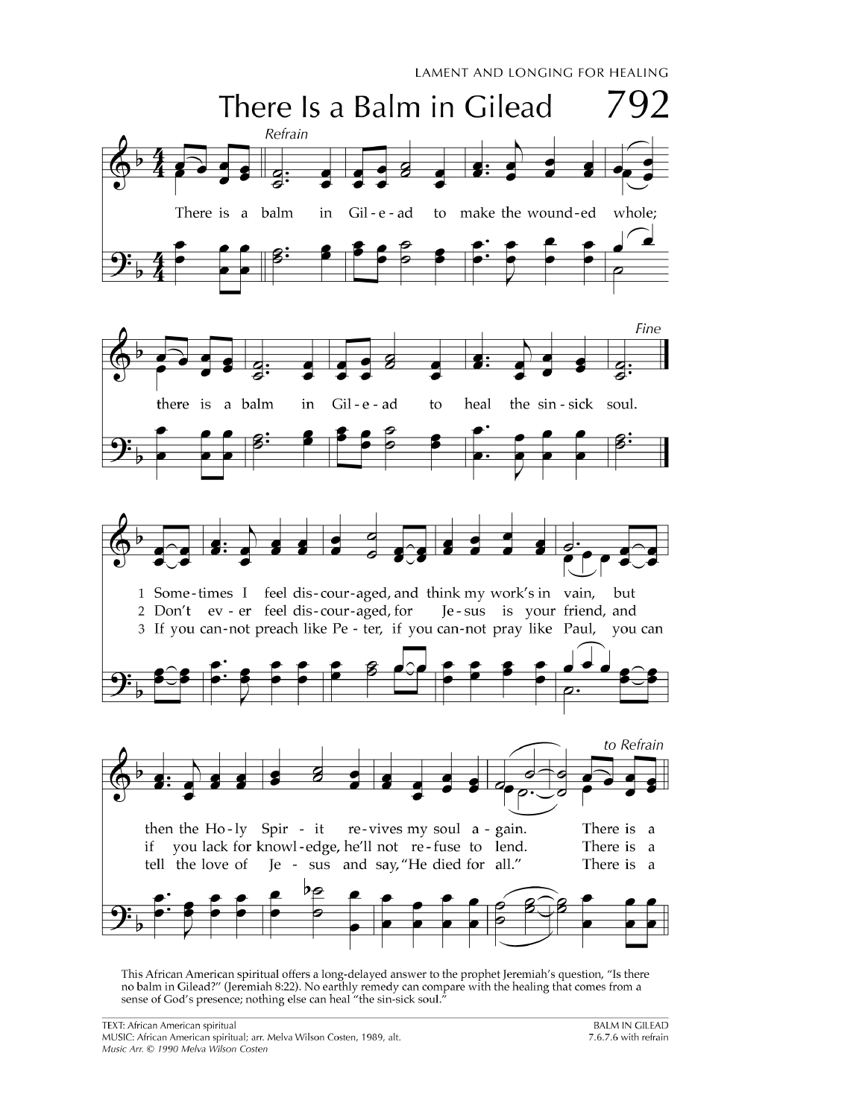

This African American spiritual offers a long-delayed answer to the prophet Jeremiah's question, "Is there no balm in Gilead?" (Jeremiah 8:22). No earthly remedy can compare with the healing that comes from a sense of God's presence; nothing else can heal "the sin-sick soul."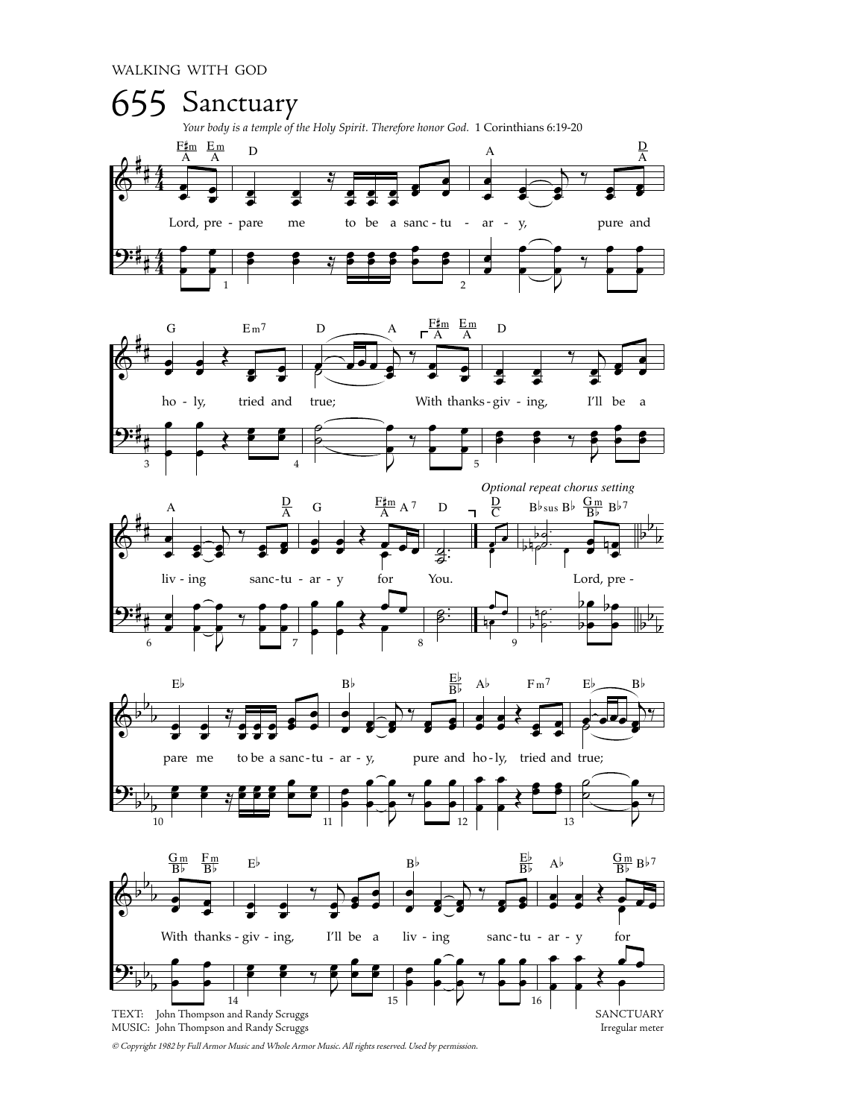

© Copyright 1982 by Full Armor Music and Whole Armor Music. All rights reserved. Used by permission.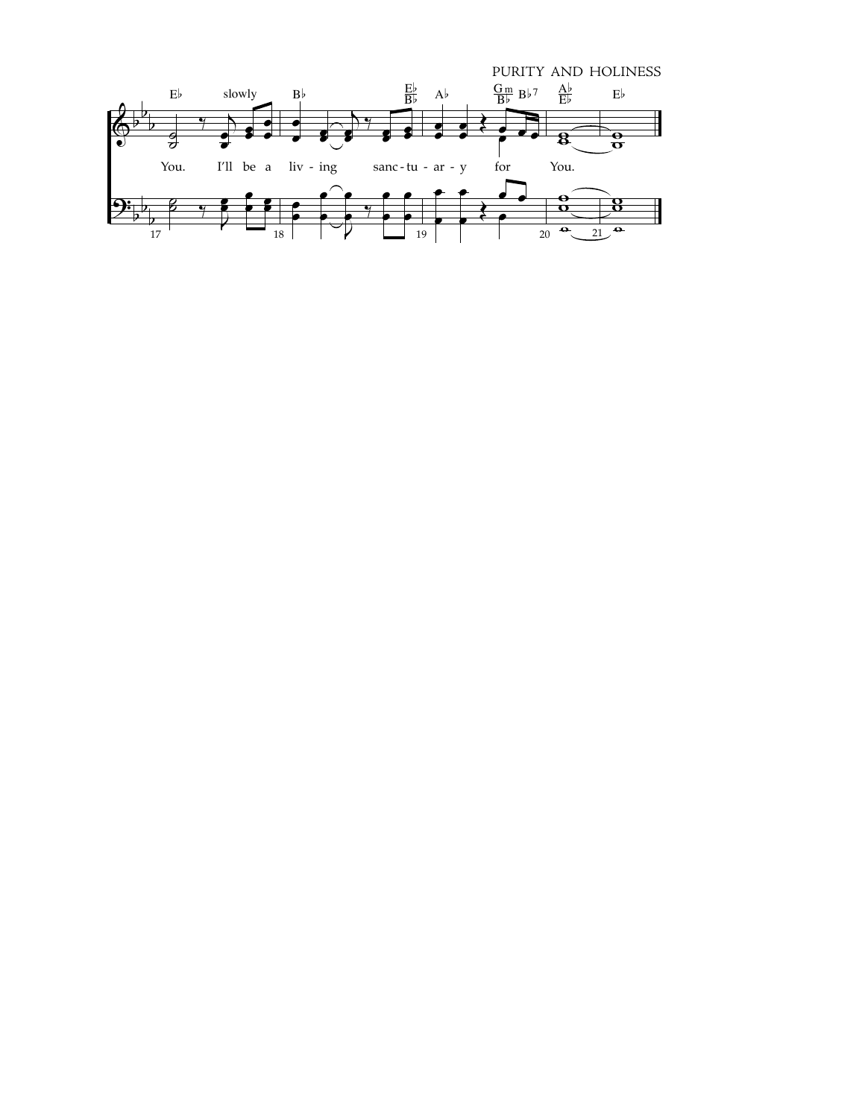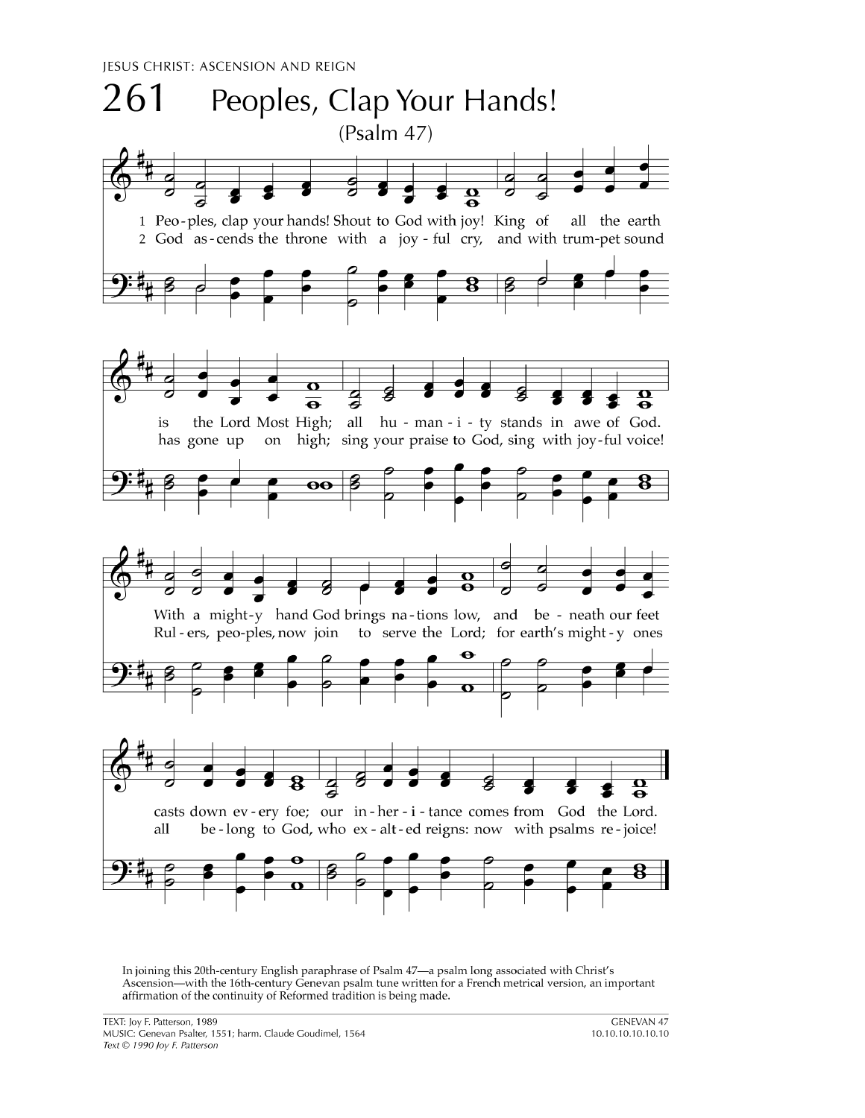JESUS CHRIST: ASCENSION AND REIGN



In joining this 20th-century English paraphrase of Psalm 47-a psalm long associated with Christ's Ascension—with the 16th-century Genevan psalm tune written for a French metrical version, an important affirmation of the continuity of Reformed tradition is being made.